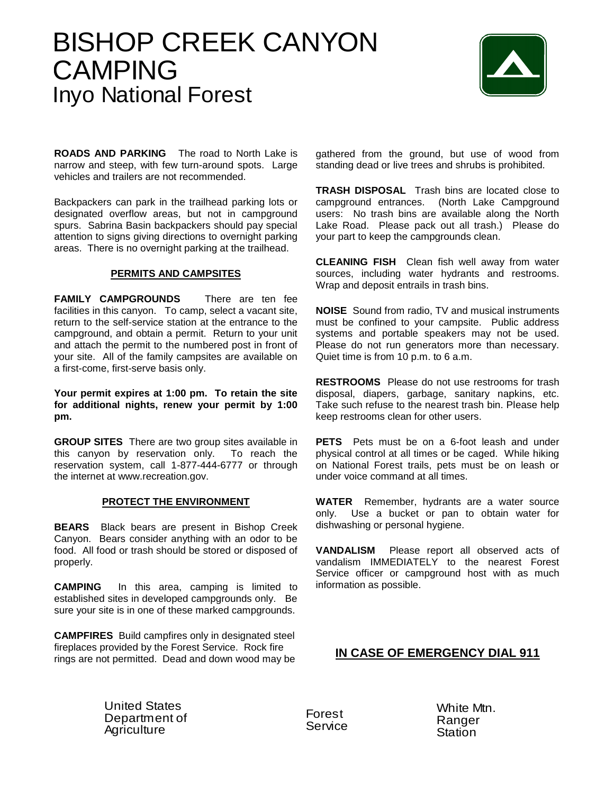## BISHOP CREEK CANYON CAMPING Inyo National Forest



**ROADS AND PARKING** The road to North Lake is narrow and steep, with few turn-around spots. Large vehicles and trailers are not recommended.

Backpackers can park in the trailhead parking lots or designated overflow areas, but not in campground spurs. Sabrina Basin backpackers should pay special attention to signs giving directions to overnight parking areas. There is no overnight parking at the trailhead.

## **PERMITS AND CAMPSITES**

**FAMILY CAMPGROUNDS** There are ten fee facilities in this canyon. To camp, select a vacant site, return to the self-service station at the entrance to the campground, and obtain a permit. Return to your unit and attach the permit to the numbered post in front of your site. All of the family campsites are available on a first-come, first-serve basis only.

**Your permit expires at 1:00 pm. To retain the site for additional nights, renew your permit by 1:00 pm.**

**GROUP SITES** There are two group sites available in this canyon by reservation only. To reach the reservation system, call 1-877-444-6777 or through the internet at www.recreation.gov.

## **PROTECT THE ENVIRONMENT**

**BEARS** Black bears are present in Bishop Creek Canyon. Bears consider anything with an odor to be food. All food or trash should be stored or disposed of properly.

**CAMPING** In this area, camping is limited to established sites in developed campgrounds only. Be sure your site is in one of these marked campgrounds.

**CAMPFIRES** Build campfires only in designated steel fireplaces provided by the Forest Service. Rock fire rings are not permitted. Dead and down wood may be

gathered from the ground, but use of wood from standing dead or live trees and shrubs is prohibited.

**TRASH DISPOSAL** Trash bins are located close to campground entrances. (North Lake Campground users: No trash bins are available along the North Lake Road. Please pack out all trash.) Please do your part to keep the campgrounds clean.

**CLEANING FISH** Clean fish well away from water sources, including water hydrants and restrooms. Wrap and deposit entrails in trash bins.

**NOISE** Sound from radio, TV and musical instruments must be confined to your campsite. Public address systems and portable speakers may not be used. Please do not run generators more than necessary. Quiet time is from 10 p.m. to 6 a.m.

**RESTROOMS** Please do not use restrooms for trash disposal, diapers, garbage, sanitary napkins, etc. Take such refuse to the nearest trash bin. Please help keep restrooms clean for other users.

**PETS** Pets must be on a 6-foot leash and under physical control at all times or be caged. While hiking on National Forest trails, pets must be on leash or under voice command at all times.

**WATER** Remember, hydrants are a water source only. Use a bucket or pan to obtain water for dishwashing or personal hygiene.

**VANDALISM** Please report all observed acts of vandalism IMMEDIATELY to the nearest Forest Service officer or campground host with as much information as possible.

## **IN CASE OF EMERGENCY DIAL 911**

United States<br>Department c<br>Agriculture Department of **Agriculture** 

Forest Service White Mtn. Ranger **Station**